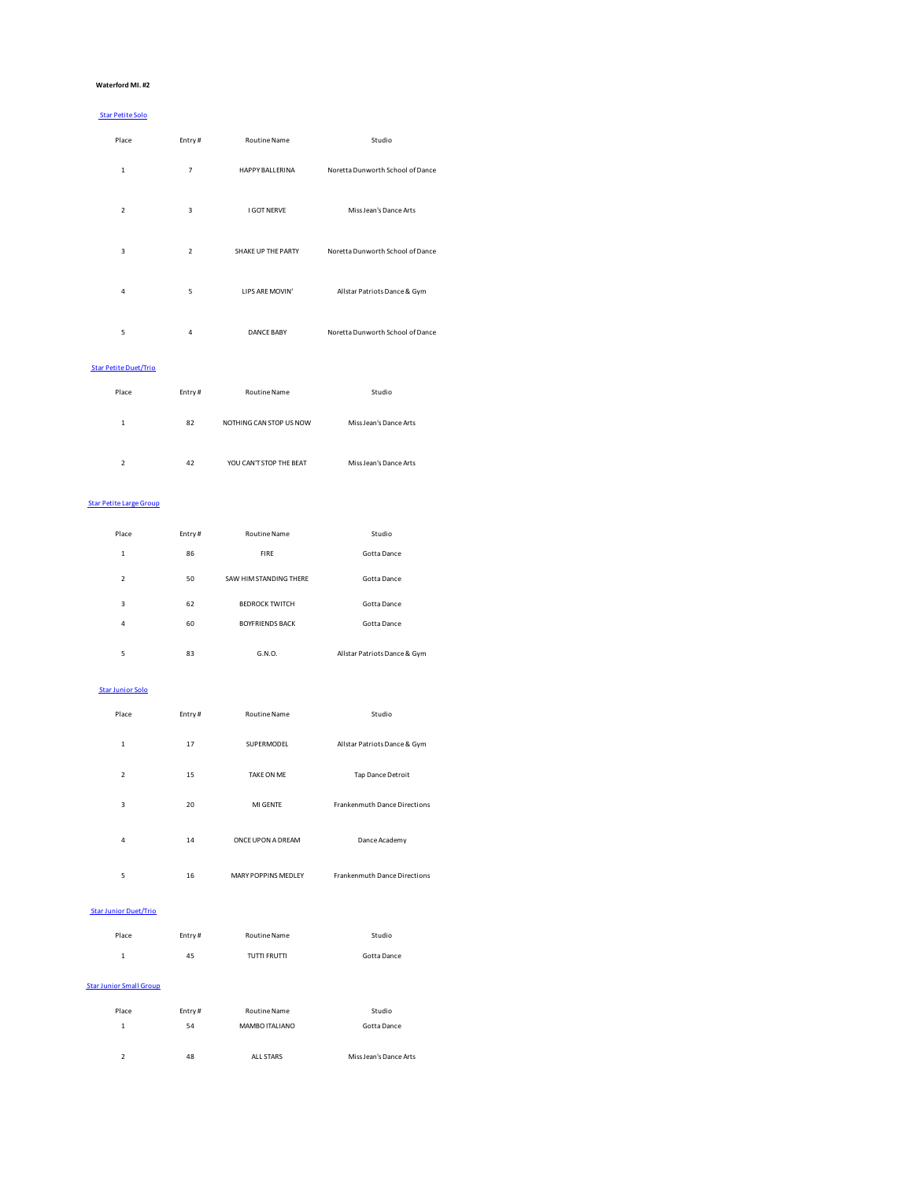### **Waterford MI. #2**

## Star Petite Solo

| Place                                    | Entry#         | <b>Routine Name</b>    | Studio                           |
|------------------------------------------|----------------|------------------------|----------------------------------|
| $\mathbf{1}$                             | $\overline{7}$ | <b>HAPPY BALLERINA</b> | Noretta Dunworth School of Dance |
| $\overline{2}$                           | 3              | <b>I GOT NERVE</b>     | Miss Jean's Dance Arts           |
| 3                                        | $\overline{2}$ | SHAKE UP THE PARTY     | Noretta Dunworth School of Dance |
| 4                                        | 5              | LIPS ARE MOVIN'        | Allstar Patriots Dance & Gym     |
| 5                                        | 4              | <b>DANCE BABY</b>      | Noretta Dunworth School of Dance |
| the contract of the contract of the con- |                |                        |                                  |

# Star Petite Duet/Trio

| Place         | Entry# | Routine Name            | Studio                 |
|---------------|--------|-------------------------|------------------------|
| 1             | 82     | NOTHING CAN STOP US NOW | Miss Jean's Dance Arts |
| $\mathcal{P}$ | 42     | YOU CAN'T STOP THE BEAT | Miss Jean's Dance Arts |

### Star Petite Large Group

| Place          | Entry# | Routine Name           | Studio                       |  |
|----------------|--------|------------------------|------------------------------|--|
| 1              | 86     | <b>FIRE</b>            | Gotta Dance                  |  |
| $\overline{2}$ | 50     | SAW HIM STANDING THERE | Gotta Dance                  |  |
| 3              | 62     | <b>BEDROCK TWITCH</b>  | Gotta Dance                  |  |
| 4              | 60     | <b>BOYFRIENDS BACK</b> | Gotta Dance                  |  |
| 5              | 83     | G.N.O.                 | Allstar Patriots Dance & Gym |  |

## Star Junior Solo

| Place          | Entry# | Routine Name         | Studio                              |
|----------------|--------|----------------------|-------------------------------------|
| 1              | 17     | <b>SUPERMODEL</b>    | Allstar Patriots Dance & Gym        |
| $\overline{2}$ | 15     | TAKE ON ME           | Tap Dance Detroit                   |
| 3              | 20     | MI GENTE             | <b>Frankenmuth Dance Directions</b> |
| 4              | 14     | ONCE UPON A DREAM    | Dance Academy                       |
| 5              | 16     | MARY POPPINS MEDI FY | <b>Frankenmuth Dance Directions</b> |

### Star Junior Duet/Trio

| Place                          | Entry# | Routine Name   | Studio      |
|--------------------------------|--------|----------------|-------------|
| $\mathbf{1}$                   | 45     | TUTTI FRUTTI   | Gotta Dance |
| <b>Star Junior Small Group</b> |        |                |             |
| Place                          | Entry# | Routine Name   | Studio      |
| 1                              | 54     | MAMBO ITALIANO | Gotta Dance |
|                                |        |                |             |

| 48 | ALL STARS | Miss Jean's Dance Arts |
|----|-----------|------------------------|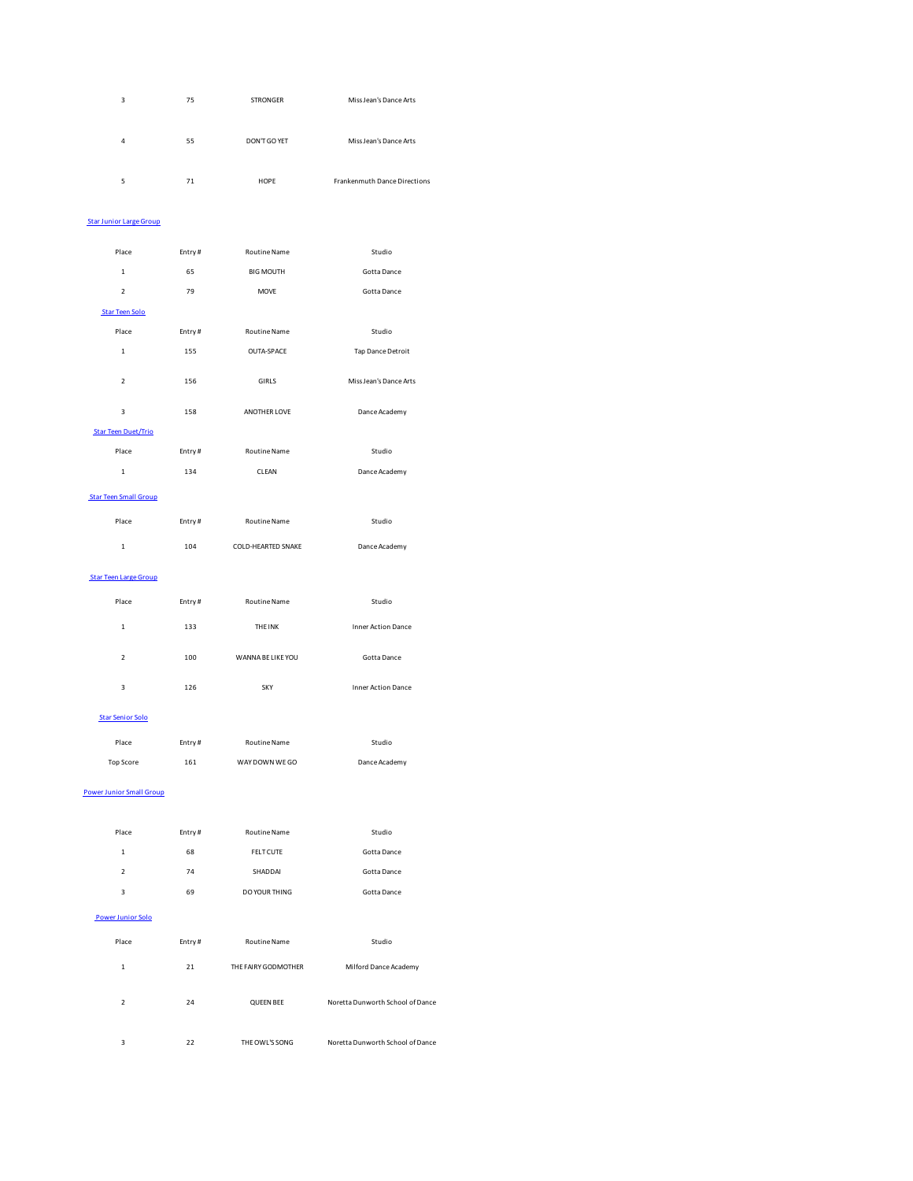| 3 | 75 | <b>STRONGER</b> | Miss Jean's Dance Arts       |
|---|----|-----------------|------------------------------|
| 4 | 55 | DON'T GO YET    | Miss Jean's Dance Arts       |
| 5 | 71 | HOPE            | Frankenmuth Dance Directions |

# Star Junior Large Group

| Place                        | Entry# | <b>Routine Name</b> | Studio                    |
|------------------------------|--------|---------------------|---------------------------|
| $\mathbf{1}$                 | 65     | <b>BIG MOUTH</b>    | Gotta Dance               |
| $\overline{2}$               | 79     | <b>MOVE</b>         | Gotta Dance               |
| <b>Star Teen Solo</b>        |        |                     |                           |
| Place                        | Entry# | Routine Name        | Studio                    |
| $\mathbf{1}$                 | 155    | <b>OUTA-SPACE</b>   | Tap Dance Detroit         |
| $\boldsymbol{2}$             | 156    | GIRLS               | Miss Jean's Dance Arts    |
| 3                            | 158    | ANOTHER LOVE        | Dance Academy             |
| <b>Star Teen Duet/Trio</b>   |        |                     |                           |
| Place                        | Entry# | Routine Name        | Studio                    |
| $\mathbf{1}$                 | 134    | CLEAN               | Dance Academy             |
| <b>Star Teen Small Group</b> |        |                     |                           |
| Place                        | Entry# | Routine Name        | Studio                    |
| $\mathbf{1}$                 | 104    | COLD-HEARTED SNAKE  | Dance Academy             |
| <b>Star Teen Large Group</b> |        |                     |                           |
| Place                        | Entry# | Routine Name        | Studio                    |
| $\mathbf{1}$                 | 133    | <b>THE INK</b>      | <b>Inner Action Dance</b> |
| $\mathfrak{p}$               | 100    | WANNA BE LIKE YOU   | Gotta Dance               |
| 3                            | 126    | <b>SKY</b>          | <b>Inner Action Dance</b> |
| <b>Star Senior Solo</b>      |        |                     |                           |
| Place                        | Entry# | <b>Routine Name</b> | Studio                    |
| <b>Top Score</b>             | 161    | WAY DOWN WEGO       | Dance Academy             |

#### Power Junior Small Group

| Place                    | Entry# | Routine Name        | Studio                           |  |
|--------------------------|--------|---------------------|----------------------------------|--|
| $\mathbf{1}$             | 68     | <b>FELT CUTE</b>    | Gotta Dance                      |  |
| $\overline{2}$           | 74     | SHADDAI             | Gotta Dance                      |  |
| 3                        | 69     | DO YOUR THING       | Gotta Dance                      |  |
| <b>Power Junior Solo</b> |        |                     |                                  |  |
| Place                    | Entry# | <b>Routine Name</b> | Studio                           |  |
| $\mathbf{1}$             | 21     | THE FAIRY GODMOTHER | Milford Dance Academy            |  |
| $\overline{2}$           | 24     | <b>QUEEN BEE</b>    | Noretta Dunworth School of Dance |  |
| 3                        | 22     | THE OWL'S SONG      | Noretta Dunworth School of Dance |  |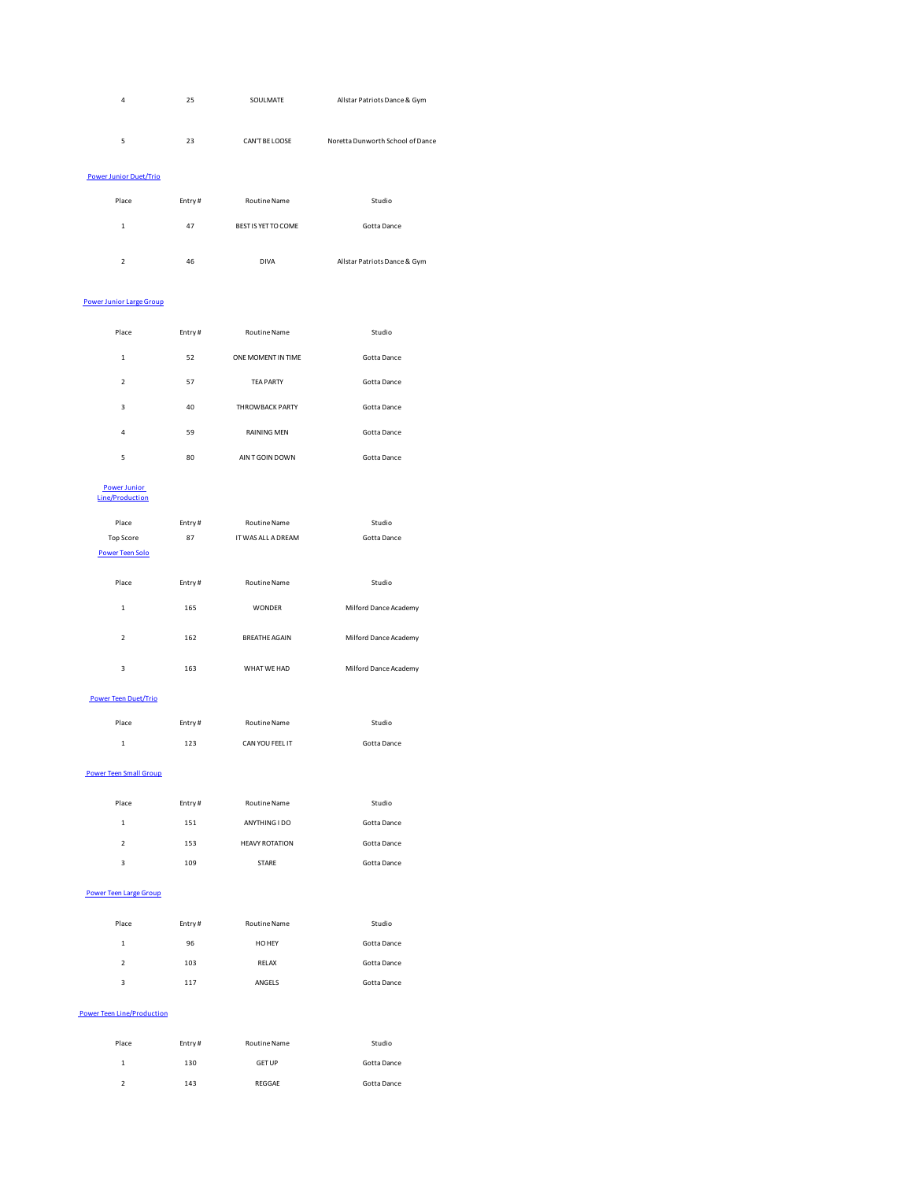| 4                             | 25     | SOULMATE            | Allstar Patriots Dance & Gym     |
|-------------------------------|--------|---------------------|----------------------------------|
| 5                             | 23     | CAN'T BE LOOSE      | Noretta Dunworth School of Dance |
| <b>Power Junior Duet/Trio</b> |        |                     |                                  |
| Place                         | Entry# | <b>Routine Name</b> | Studio                           |
| 1                             | 47     | BEST IS YET TO COME | Gotta Dance                      |

2 46 DIVA Allstar Patriots Dance & Gym

## Power Junior Large Group

| Place          | Entry# | Routine Name           | Studio      |
|----------------|--------|------------------------|-------------|
| $\mathbf{1}$   | 52     | ONE MOMENT IN TIME     | Gotta Dance |
| $\mathfrak{p}$ | 57     | <b>TEA PARTY</b>       | Gotta Dance |
| 3              | 40     | <b>THROWBACK PARTY</b> | Gotta Dance |
| 4              | 59     | <b>RAINING MEN</b>     | Gotta Dance |
| 5              | 80     | AIN T GOIN DOWN        | Gotta Dance |
|                |        |                        |             |

# Power Junior Line/Production

| Place            |        | Routine Name         | Studio                |
|------------------|--------|----------------------|-----------------------|
|                  | Entry# |                      |                       |
| <b>Top Score</b> | 87     | IT WAS ALL A DREAM   | Gotta Dance           |
| Power Teen Solo  |        |                      |                       |
|                  |        |                      |                       |
| Place            | Entry# | <b>Routine Name</b>  | Studio                |
|                  |        |                      |                       |
| $\mathbf{1}$     | 165    | <b>WONDER</b>        | Milford Dance Academy |
|                  |        |                      |                       |
| $\overline{2}$   | 162    | <b>BREATHE AGAIN</b> | Milford Dance Academy |
|                  |        |                      |                       |
| 3                | 163    | WHAT WF HAD          | Milford Dance Academy |
|                  |        |                      |                       |

## Power Teen Duet/Trio

| Place | Entry# | Routine Name    | Studio      |
|-------|--------|-----------------|-------------|
| 1     | 123    | CAN YOU FEEL IT | Gotta Dance |

## Power Teen Small Group

| Place         | Entry# | <b>Routine Name</b>   | Studio      |
|---------------|--------|-----------------------|-------------|
| 1             | 151    | ANYTHING I DO         | Gotta Dance |
| $\mathcal{P}$ | 153    | <b>HEAVY ROTATION</b> | Gotta Dance |
| 3             | 109    | STARE                 | Gotta Dance |

### Power Teen Large Group

| Place          | Entry# | <b>Routine Name</b> | Studio      |
|----------------|--------|---------------------|-------------|
| $\mathbf{1}$   | 96     | HO HEY              | Gotta Dance |
| $\mathfrak{p}$ | 103    | RELAX               | Gotta Dance |
| 3              | 117    | ANGELS              | Gotta Dance |
|                |        |                     |             |

## Power Teen Line/Production

| Place         | Entry# | Routine Name  | Studio      |
|---------------|--------|---------------|-------------|
| 1             | 130    | <b>GET UP</b> | Gotta Dance |
| $\mathcal{P}$ | 143    | REGGAE        | Gotta Dance |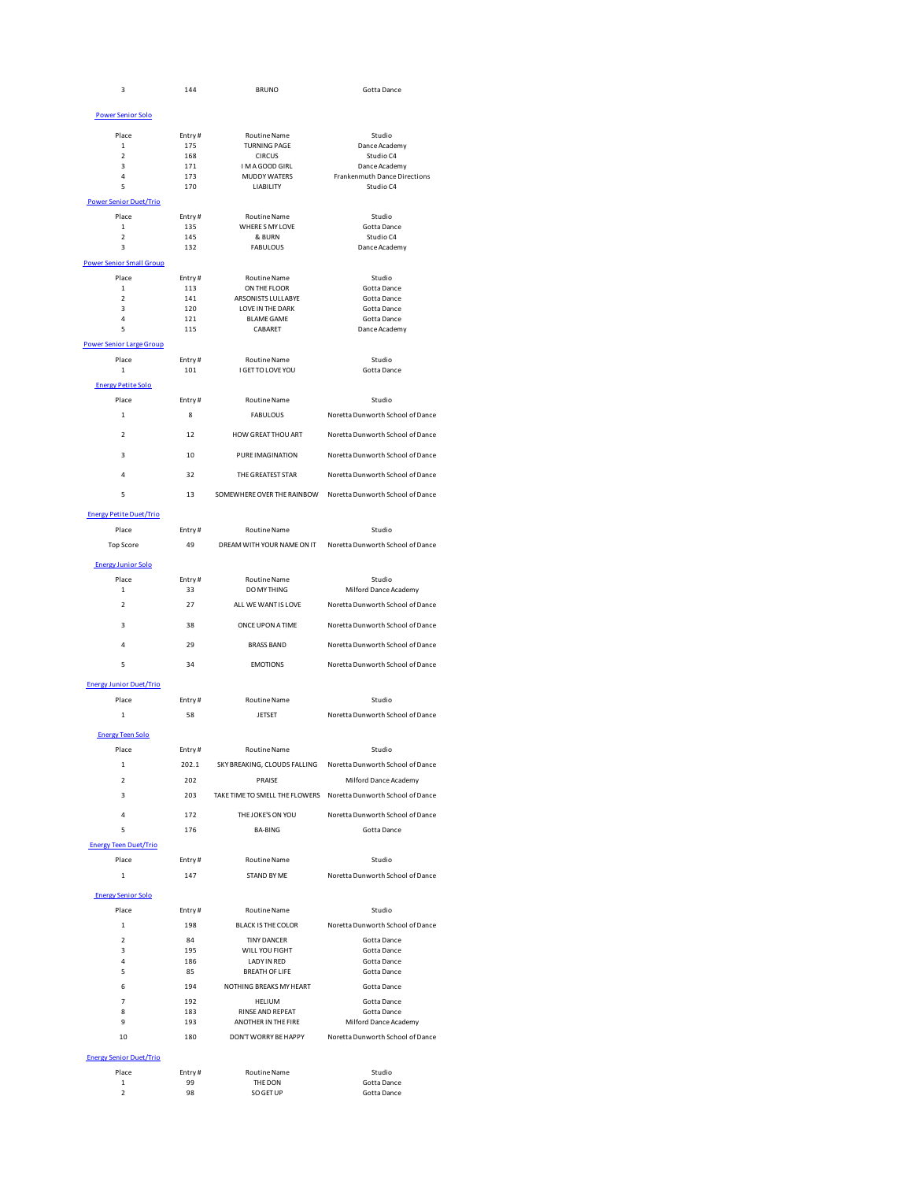| 3                                      | 144           | <b>BRUNO</b>                            | Gotta Dance                                                     |
|----------------------------------------|---------------|-----------------------------------------|-----------------------------------------------------------------|
| <b>Power Senior Solo</b>               |               |                                         |                                                                 |
|                                        |               |                                         |                                                                 |
| Place<br>$\mathbf 1$                   | Entry#<br>175 | Routine Name<br><b>TURNING PAGE</b>     | Studio<br>Dance Academy                                         |
| $\mathfrak{p}$                         | 168           | <b>CIRCUS</b>                           | Studio C4                                                       |
| 3<br>4                                 | 171<br>173    | I M A GOOD GIRL<br><b>MUDDY WATERS</b>  | Dance Academy<br>Frankenmuth Dance Directions                   |
| 5                                      | 170           | LIABILITY                               | Studio C4                                                       |
| <b>Power Senior Duet/Trio</b>          |               |                                         |                                                                 |
| Place                                  | Entry#        | Routine Name                            | Studio                                                          |
| $\mathbf 1$<br>$\overline{\mathbf{2}}$ | 135<br>145    | WHERE S MY LOVE<br>& BURN               | Gotta Dance<br>Studio C4                                        |
| 3                                      | 132           | <b>FABULOUS</b>                         | Dance Academy                                                   |
| <b>Power Senior Small Group</b>        |               |                                         |                                                                 |
| Place                                  | Entry#        | Routine Name                            | Studio                                                          |
| $\mathbf 1$                            | 113<br>141    | ON THE FLOOR                            | Gotta Dance                                                     |
| $\mathfrak{p}$<br>3                    | 120           | ARSONISTS LULLABYE<br>LOVE IN THE DARK  | Gotta Dance<br>Gotta Dance                                      |
| 4                                      | 121           | <b>BLAME GAME</b>                       | Gotta Dance                                                     |
| 5                                      | 115           | CABARET                                 | Dance Academy                                                   |
| <b>Power Senior Large Group</b>        |               |                                         |                                                                 |
| Place<br>$\mathbf 1$                   | Entry#<br>101 | Routine Name<br>I GET TO LOVE YOU       | Studio<br>Gotta Dance                                           |
| <b>Energy Petite Solo</b>              |               |                                         |                                                                 |
| Place                                  | Entry#        | <b>Routine Name</b>                     | Studio                                                          |
| 1                                      | 8             | <b>FABULOUS</b>                         | Noretta Dunworth School of Dance                                |
|                                        |               |                                         |                                                                 |
| $\mathfrak{p}$                         | 12            | HOW GREAT THOU ART                      | Noretta Dunworth School of Dance                                |
| 3                                      | 10            | PURE IMAGINATION                        | Noretta Dunworth School of Dance                                |
| 4                                      | 32            | THE GREATEST STAR                       | Noretta Dunworth School of Dance                                |
| 5                                      | 13            |                                         | SOMEWHERE OVER THE RAINBOW Noretta Dunworth School of Dance     |
| <b>Energy Petite Duet/Trio</b>         |               |                                         |                                                                 |
| Place                                  | Entry#        | Routine Name                            | Studio                                                          |
| <b>Top Score</b>                       | 49            | DREAM WITH YOUR NAME ON IT              | Noretta Dunworth School of Dance                                |
| <b>Energy Junior Solo</b>              |               |                                         |                                                                 |
| Place                                  | Entry#        | Routine Name                            | Studio                                                          |
| $\mathbf 1$                            | 33            | DO MY THING                             | Milford Dance Academy                                           |
| $\overline{2}$                         | 27            | ALL WE WANT IS LOVE                     | Noretta Dunworth School of Dance                                |
| 3                                      | 38            | ONCE UPON A TIME                        | Noretta Dunworth School of Dance                                |
| 4                                      | 29            | <b>BRASS BAND</b>                       | Noretta Dunworth School of Dance                                |
| 5                                      | 34            | <b>EMOTIONS</b>                         | Noretta Dunworth School of Dance                                |
| <b>Energy Junior Duet/Trio</b>         |               |                                         |                                                                 |
| Place                                  | Entry#        | Routine Name                            | Studio                                                          |
| $\mathbf 1$                            | 58            | JETSET                                  | Noretta Dunworth School of Dance                                |
|                                        |               |                                         |                                                                 |
| <b>Energy Teen Solo</b>                |               |                                         |                                                                 |
| Place                                  | Entry#        | Routine Name                            | Studio                                                          |
| $\mathbf 1$                            | 202.1         | SKY BREAKING, CLOUDS FALLING            | Noretta Dunworth School of Dance                                |
| 2                                      | 202           | PRAISE                                  | Milford Dance Academy                                           |
| 3                                      | 203           |                                         | TAKE TIME TO SMELL THE FLOWERS Noretta Dunworth School of Dance |
| $\overline{4}$                         | 172           | THE JOKE'S ON YOU                       | Noretta Dunworth School of Dance                                |
| 5                                      | 176           | <b>BA-BING</b>                          | Gotta Dance                                                     |
| <b>Energy Teen Duet/Trio</b>           |               |                                         |                                                                 |
| Place                                  | Entry#        | Routine Name                            | Studio                                                          |
| $\mathbf 1$                            | 147           | STAND BY ME                             | Noretta Dunworth School of Dance                                |
| <b>Energy Senior Solo</b>              |               |                                         |                                                                 |
| Place                                  | Entry#        | <b>Routine Name</b>                     | Studio                                                          |
| $\mathbf 1$                            | 198           | <b>BLACK IS THE COLOR</b>               | Noretta Dunworth School of Dance                                |
| $\overline{2}$                         | 84            | <b>TINY DANCER</b>                      | Gotta Dance                                                     |
| 3<br>4                                 | 195<br>186    | WILL YOU FIGHT<br>LADY IN RED           | Gotta Dance<br>Gotta Dance                                      |
| 5                                      | 85            | <b>BREATH OF LIFE</b>                   | Gotta Dance                                                     |
| 6                                      | 194           | NOTHING BREAKS MY HEART                 | Gotta Dance                                                     |
| 7                                      | 192           | HELIUM                                  | Gotta Dance                                                     |
| 8<br>9                                 | 183<br>193    | RINSE AND REPEAT<br>ANOTHER IN THE FIRE | Gotta Dance<br>Milford Dance Academy                            |
| 10                                     | 180           | DON'T WORRY BE HAPPY                    | Noretta Dunworth School of Dance                                |
|                                        |               |                                         |                                                                 |
| <b>Energy Senior Duet/Trio</b>         |               |                                         |                                                                 |
| Place<br>$\mathbf 1$                   | Entry#<br>99  | <b>Routine Name</b><br>THE DON          | Studio<br>Gotta Dance                                           |
| $\overline{2}$                         | 98            | SO GET UP                               | Gotta Dance                                                     |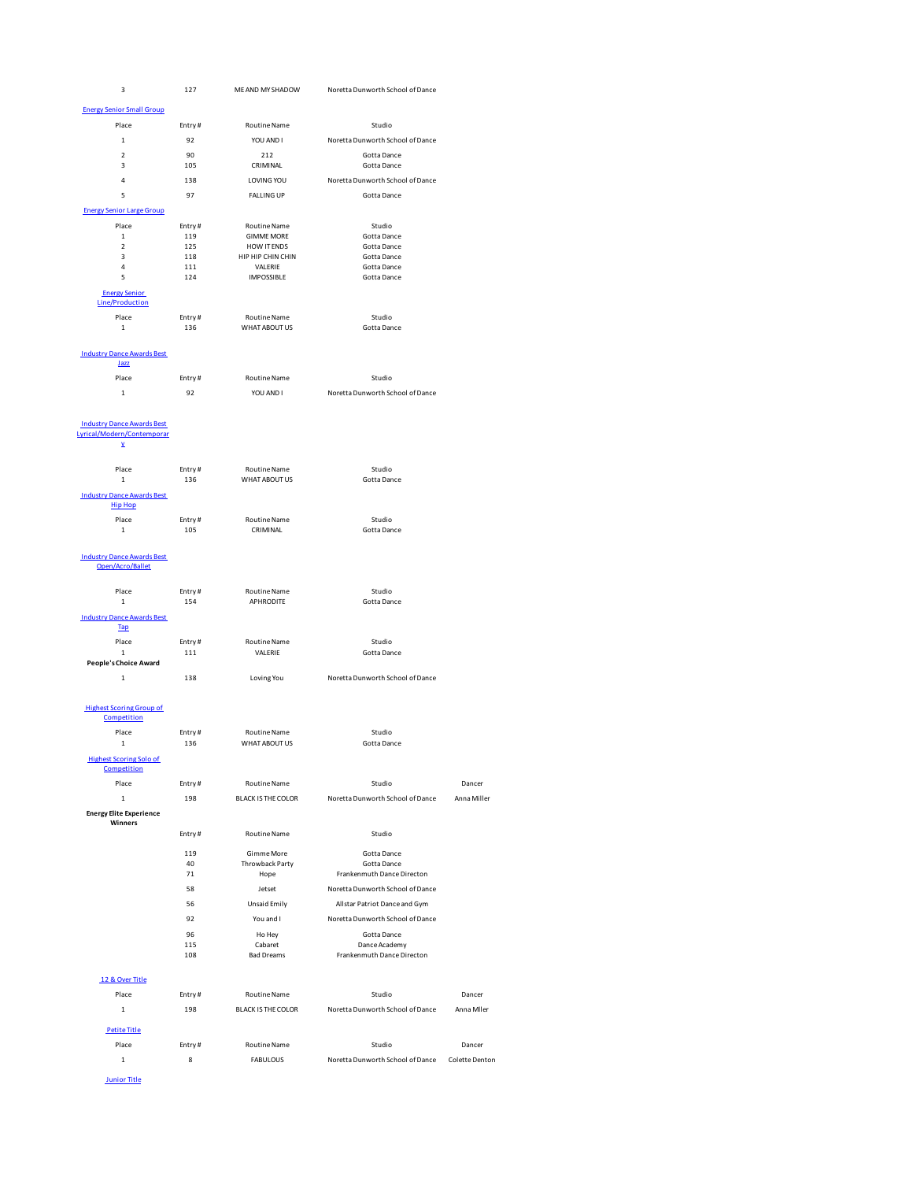| 3                                                   | 127           | ME AND MY SHADOW              | Noretta Dunworth School of Dance |                |
|-----------------------------------------------------|---------------|-------------------------------|----------------------------------|----------------|
| <b>Energy Senior Small Group</b>                    |               |                               |                                  |                |
| Place                                               | Entry#        | Routine Name                  | Studio                           |                |
|                                                     |               |                               |                                  |                |
| $\mathbf{1}$                                        | 92            | YOU AND I                     | Noretta Dunworth School of Dance |                |
| $\overline{2}$<br>3                                 | 90<br>105     | 212<br>CRIMINAL               | Gotta Dance<br>Gotta Dance       |                |
|                                                     |               |                               |                                  |                |
| 4                                                   | 138           | LOVING YOU                    | Noretta Dunworth School of Dance |                |
| 5                                                   | 97            | <b>FALLING UP</b>             | Gotta Dance                      |                |
| <b>Energy Senior Large Group</b>                    |               |                               |                                  |                |
| Place                                               | Entry#        | Routine Name                  | Studio                           |                |
| $\mathbf 1$                                         | 119           | <b>GIMME MORE</b>             | Gotta Dance                      |                |
| $\overline{2}$                                      | 125           | HOW IT ENDS                   | Gotta Dance                      |                |
| 3<br>$\overline{4}$                                 | 118<br>111    | HIP HIP CHIN CHIN<br>VALERIE  | Gotta Dance<br>Gotta Dance       |                |
| 5                                                   | 124           | <b>IMPOSSIBLE</b>             | Gotta Dance                      |                |
| <b>Energy Senior</b>                                |               |                               |                                  |                |
| <b>Line/Production</b>                              |               |                               |                                  |                |
| Place                                               | Entry#        | Routine Name                  | Studio                           |                |
| $\mathbf 1$                                         | 136           | WHAT ABOUT US                 | Gotta Dance                      |                |
|                                                     |               |                               |                                  |                |
| <b>Industry Dance Awards Best</b><br><u>Jazz</u>    |               |                               |                                  |                |
|                                                     |               | <b>Routine Name</b>           |                                  |                |
| Place                                               | Entry#        |                               | Studio                           |                |
| $\mathbf 1$                                         | 92            | YOU AND I                     | Noretta Dunworth School of Dance |                |
|                                                     |               |                               |                                  |                |
| <b>Industry Dance Awards Best</b>                   |               |                               |                                  |                |
| yrical/Modern/Contemporar                           |               |                               |                                  |                |
| ¥                                                   |               |                               |                                  |                |
| Place                                               | Entry#        | Routine Name                  | Studio                           |                |
| $\mathbf 1$                                         | 136           | WHAT ABOUT US                 | Gotta Dance                      |                |
|                                                     |               |                               |                                  |                |
| <b>Industry Dance Awards Best</b><br><b>Hip Hop</b> |               |                               |                                  |                |
| Place                                               | Entry#        | Routine Name                  | Studio                           |                |
| $\mathbf 1$                                         | 105           | CRIMINAL                      | Gotta Dance                      |                |
|                                                     |               |                               |                                  |                |
| <b>Industry Dance Awards Best</b>                   |               |                               |                                  |                |
| Open/Acro/Ballet                                    |               |                               |                                  |                |
|                                                     |               |                               |                                  |                |
| Place                                               | Entry#        | Routine Name                  | Studio                           |                |
| $\mathbf 1$                                         | 154           | APHRODITE                     | Gotta Dance                      |                |
| <b>Industry Dance Awards Best</b>                   |               |                               |                                  |                |
| <b>Tap</b>                                          |               |                               |                                  |                |
| Place                                               | Entry#        | Routine Name                  | Studio                           |                |
| $\mathbf 1$<br><b>People's Choice Award</b>         | 111           | VALERIE                       | Gotta Dance                      |                |
|                                                     |               |                               | Noretta Dunworth School of Dance |                |
| $\mathbf{1}$                                        | 138           | Loving You                    |                                  |                |
|                                                     |               |                               |                                  |                |
| <b>Highest Scoring Group of</b>                     |               |                               |                                  |                |
| Competition                                         |               |                               |                                  |                |
| Place<br>$\mathbf{1}$                               | Entry#<br>136 | Routine Name<br>WHAT ABOUT US | Studio<br>Gotta Dance            |                |
|                                                     |               |                               |                                  |                |
| <b>Highest Scoring Solo of</b>                      |               |                               |                                  |                |
| Competition                                         |               |                               |                                  |                |
| Place                                               | Entry#        | Routine Name                  | Studio                           | Dancer         |
| $\mathbf 1$                                         | 198           | <b>BLACK IS THE COLOR</b>     | Noretta Dunworth School of Dance | Anna Miller    |
| <b>Energy Elite Experience</b>                      |               |                               |                                  |                |
| Winners                                             | Entry#        | Routine Name                  | Studio                           |                |
|                                                     |               |                               |                                  |                |
|                                                     | 119           | Gimme More                    | Gotta Dance                      |                |
|                                                     | 40            | Throwback Party               | Gotta Dance                      |                |
|                                                     | 71            | Hope                          | Frankenmuth Dance Directon       |                |
|                                                     | 58            | Jetset                        | Noretta Dunworth School of Dance |                |
|                                                     | 56            | Unsaid Emily                  | Allstar Patriot Dance and Gym    |                |
|                                                     | 92            | You and I                     | Noretta Dunworth School of Dance |                |
|                                                     | 96            | Ho Hey                        | Gotta Dance                      |                |
|                                                     | 115           | Cabaret                       | Dance Academy                    |                |
|                                                     |               | <b>Bad Dreams</b>             | Frankenmuth Dance Directon       |                |
|                                                     | 108           |                               |                                  |                |
|                                                     |               |                               |                                  |                |
| 12 & Over Title                                     |               |                               |                                  |                |
| Place                                               | Entry#        | Routine Name                  | Studio                           | Dancer         |
| $\mathbf{1}$                                        | 198           | <b>BLACK IS THE COLOR</b>     | Noretta Dunworth School of Dance | Anna Miler     |
|                                                     |               |                               |                                  |                |
| <b>Petite Title</b>                                 |               |                               |                                  |                |
| Place                                               | Entry#        | <b>Routine Name</b>           | Studio                           | Dancer         |
| $\mathbf 1$                                         | 8             | <b>FABULOUS</b>               | Noretta Dunworth School of Dance | Colette Denton |